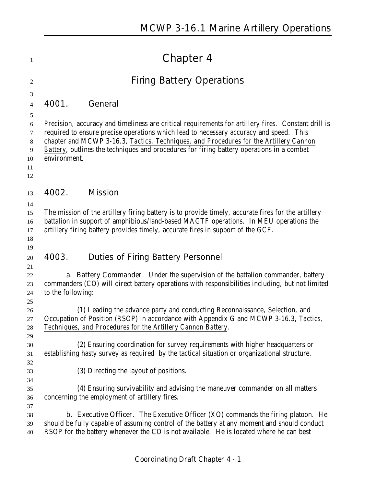|                   | <b>Chapter 4</b>                                                                                                                                                                                                                                                                                                                                                                    |  |
|-------------------|-------------------------------------------------------------------------------------------------------------------------------------------------------------------------------------------------------------------------------------------------------------------------------------------------------------------------------------------------------------------------------------|--|
|                   | <b>Firing Battery Operations</b>                                                                                                                                                                                                                                                                                                                                                    |  |
| 4001.             | General                                                                                                                                                                                                                                                                                                                                                                             |  |
| environment.      | Precision, accuracy and timeliness are critical requirements for artillery fires. Constant drill is<br>required to ensure precise operations which lead to necessary accuracy and speed. This<br>chapter and MCWP 3-16.3, Tactics, Techniques, and Procedures for the Artillery Cannon<br>Battery, outlines the techniques and procedures for firing battery operations in a combat |  |
| 4002.             | <b>Mission</b>                                                                                                                                                                                                                                                                                                                                                                      |  |
|                   | The mission of the artillery firing battery is to provide timely, accurate fires for the artillery<br>battalion in support of amphibious/land-based MAGTF operations. In MEU operations the<br>artillery firing battery provides timely, accurate fires in support of the GCE.                                                                                                      |  |
| 4003.             | <b>Duties of Firing Battery Personnel</b>                                                                                                                                                                                                                                                                                                                                           |  |
| to the following: | <b>a. Battery Commander.</b> Under the supervision of the battalion commander, battery<br>commanders (CO) will direct battery operations with responsibilities including, but not limited                                                                                                                                                                                           |  |
|                   | (1) Leading the advance party and conducting Reconnaissance, Selection, and<br>Occupation of Position (RSOP) in accordance with Appendix G and MCWP 3-16.3, <i>Tactics</i> ,<br>Techniques, and Procedures for the Artillery Cannon Battery.                                                                                                                                        |  |
|                   | (2) Ensuring coordination for survey requirements with higher headquarters or<br>establishing hasty survey as required by the tactical situation or organizational structure.                                                                                                                                                                                                       |  |
|                   | (3) Directing the layout of positions.                                                                                                                                                                                                                                                                                                                                              |  |
|                   | (4) Ensuring survivability and advising the maneuver commander on all matters<br>concerning the employment of artillery fires.                                                                                                                                                                                                                                                      |  |
|                   | <b>b. Executive Officer.</b> The Executive Officer (XO) commands the firing platoon. He<br>should be fully capable of assuming control of the battery at any moment and should conduct<br>RSOP for the battery whenever the CO is not available. He is located where he can best                                                                                                    |  |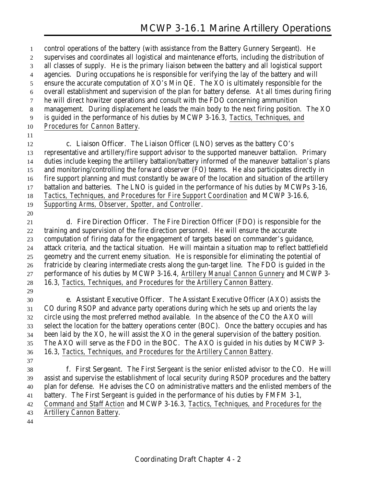control operations of the battery (with assistance from the Battery Gunnery Sergeant). He supervises and coordinates all logistical and maintenance efforts, including the distribution of all classes of supply. He is the primary liaison between the battery and all logistical support agencies. During occupations he is responsible for verifying the lay of the battery and will ensure the accurate computation of XO's Min QE. The XO is ultimately responsible for the overall establishment and supervision of the plan for battery defense. At all times during firing he will direct howitzer operations and consult with the FDO concerning ammunition management. During displacement he leads the main body to the next firing position. The XO is guided in the performance of his duties by MCWP 3-16.3, *Tactics, Techniques, and Procedures for Cannon Battery*. **c. Liaison Officer**. The Liaison Officer (LNO) serves as the battery CO's representative and artillery/fire support advisor to the supported maneuver battalion. Primary duties include keeping the artillery battalion/battery informed of the maneuver battalion's plans and monitoring/controlling the forward observer (FO) teams. He also participates directly in fire support planning and must constantly be aware of the location and situation of the artillery battalion and batteries. The LNO is guided in the performance of his duties by MCWPs 3-16, *Tactics, Techniques, and Procedures for Fire Support Coordination* and MCWP 3-16.6, *Supporting Arms, Observer, Spotter, and Controller*. **d. Fire Direction Officer**. The Fire Direction Officer (FDO) is responsible for the training and supervision of the fire direction personnel. He will ensure the accurate computation of firing data for the engagement of targets based on commander's guidance, attack criteria, and the tactical situation. He will maintain a situation map to reflect battlefield geometry and the current enemy situation. He is responsible for eliminating the potential of fratricide by clearing intermediate crests along the gun-target line. The FDO is guided in the performance of his duties by MCWP 3-16.4, *Artillery Manual Cannon Gunnery* and MCWP 3- 16.3, *Tactics, Techniques, and Procedures for the Artillery Cannon Battery*. **e. Assistant Executive Officer**. The Assistant Executive Officer (AXO) assists the CO during RSOP and advance party operations during which he sets up and orients the lay circle using the most preferred method available. In the absence of the CO the AXO will select the location for the battery operations center (BOC). Once the battery occupies and has been laid by the XO, he will assist the XO in the general supervision of the battery position. The AXO will serve as the FDO in the BOC. The AXO is guided in his duties by MCWP 3- 16.3, *Tactics, Techniques, and Procedures for the Artillery Cannon Battery*. **f. First Sergeant**. The First Sergeant is the senior enlisted advisor to the CO. He will assist and supervise the establishment of local security during RSOP procedures and the battery plan for defense. He advises the CO on administrative matters and the enlisted members of the battery. The First Sergeant is guided in the performance of his duties by FMFM 3-1, *Command and Staff Action* and MCWP 3-16.3, *Tactics, Techniques, and Procedures for the Artillery Cannon Battery*.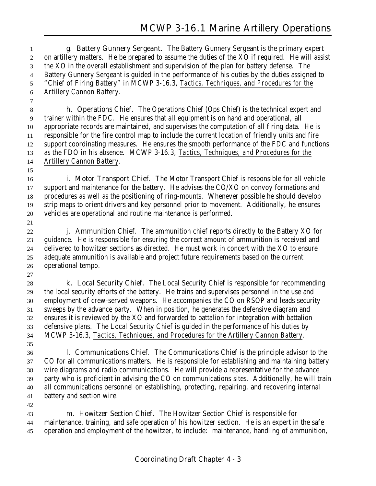**g. Battery Gunnery Sergeant**. The Battery Gunnery Sergeant is the primary expert on artillery matters. He be prepared to assume the duties of the XO if required. He will assist the XO in the overall establishment and supervision of the plan for battery defense. The Battery Gunnery Sergeant is guided in the performance of his duties by the duties assigned to "Chief of Firing Battery" in MCWP 3-16.3, *Tactics, Techniques, and Procedures for the Artillery Cannon Battery*.

 **h. Operations Chief**. The Operations Chief (Ops Chief) is the technical expert and trainer within the FDC. He ensures that all equipment is on hand and operational, all appropriate records are maintained, and supervises the computation of all firing data. He is responsible for the fire control map to include the current location of friendly units and fire support coordinating measures. He ensures the smooth performance of the FDC and functions as the FDO in his absence. MCWP 3-16.3, *Tactics, Techniques, and Procedures for the Artillery Cannon Battery*.

 **i. Motor Transport Chief**. The Motor Transport Chief is responsible for all vehicle support and maintenance for the battery. He advises the CO/XO on convoy formations and procedures as well as the positioning of ring-mounts. Whenever possible he should develop strip maps to orient drivers and key personnel prior to movement. Additionally, he ensures vehicles are operational and routine maintenance is performed.

 **j. Ammunition Chief**. The ammunition chief reports directly to the Battery XO for guidance. He is responsible for ensuring the correct amount of ammunition is received and delivered to howitzer sections as directed. He must work in concert with the XO to ensure adequate ammunition is available and project future requirements based on the current operational tempo. 

 **k. Local Security Chief**. The Local Security Chief is responsible for recommending the local security efforts of the battery. He trains and supervises personnel in the use and employment of crew-served weapons. He accompanies the CO on RSOP and leads security sweeps by the advance party. When in position, he generates the defensive diagram and ensures it is reviewed by the XO and forwarded to battalion for integration with battalion defensive plans. The Local Security Chief is guided in the performance of his duties by MCWP 3-16.3, *Tactics, Techniques, and Procedures for the Artillery Cannon Battery*.

 **l. Communications Chief**. The Communications Chief is the principle advisor to the CO for all communications matters. He is responsible for establishing and maintaining battery wire diagrams and radio communications. He will provide a representative for the advance party who is proficient in advising the CO on communications sites. Additionally, he will train all communications personnel on establishing, protecting, repairing, and recovering internal battery and section wire.

 **m. Howitzer Section Chief**. The Howitzer Section Chief is responsible for maintenance, training, and safe operation of his howitzer section. He is an expert in the safe operation and employment of the howitzer, to include: maintenance, handling of ammunition,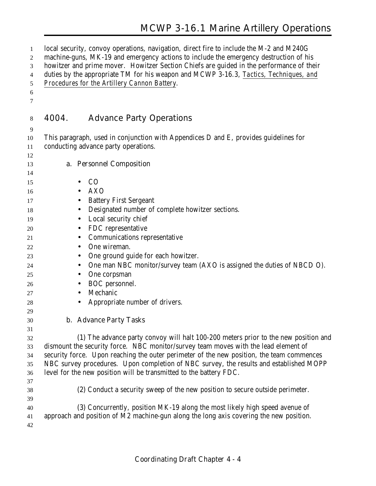## **MCWP 3-16.1 Marine Artillery Operations**

| 1<br>2<br>3 | local security, convoy operations, navigation, direct fire to include the M-2 and M240G<br>machine-guns, MK-19 and emergency actions to include the emergency destruction of his<br>howitzer and prime mover. Howitzer Section Chiefs are guided in the performance of their |  |
|-------------|------------------------------------------------------------------------------------------------------------------------------------------------------------------------------------------------------------------------------------------------------------------------------|--|
| 4           | duties by the appropriate TM for his weapon and MCWP 3-16.3, Tactics, Techniques, and                                                                                                                                                                                        |  |
| 5           | Procedures for the Artillery Cannon Battery.                                                                                                                                                                                                                                 |  |
| 6           |                                                                                                                                                                                                                                                                              |  |
| 7           |                                                                                                                                                                                                                                                                              |  |
| 8           | 4004.<br><b>Advance Party Operations</b>                                                                                                                                                                                                                                     |  |
| 9           |                                                                                                                                                                                                                                                                              |  |
| 10          | This paragraph, used in conjunction with Appendices D and E, provides guidelines for                                                                                                                                                                                         |  |
| 11          | conducting advance party operations.                                                                                                                                                                                                                                         |  |
| 12          |                                                                                                                                                                                                                                                                              |  |
| 13          | a. Personnel Composition                                                                                                                                                                                                                                                     |  |
| 14<br>15    | CO                                                                                                                                                                                                                                                                           |  |
| 16          | <b>AXO</b>                                                                                                                                                                                                                                                                   |  |
| 17          | <b>Battery First Sergeant</b>                                                                                                                                                                                                                                                |  |
| 18          | Designated number of complete howitzer sections.<br>$\bullet$                                                                                                                                                                                                                |  |
| 19          | Local security chief                                                                                                                                                                                                                                                         |  |
| 20          | FDC representative<br>$\bullet$                                                                                                                                                                                                                                              |  |
| 21          | <b>Communications representative</b>                                                                                                                                                                                                                                         |  |
| 22          | One wireman.<br>$\bullet$                                                                                                                                                                                                                                                    |  |
| 23          | One ground guide for each howitzer.                                                                                                                                                                                                                                          |  |
| 24          | One man NBC monitor/survey team (AXO is assigned the duties of NBCD O).                                                                                                                                                                                                      |  |
| 25          | One corpsman                                                                                                                                                                                                                                                                 |  |
| 26          | BOC personnel.                                                                                                                                                                                                                                                               |  |
| 27          | Mechanic                                                                                                                                                                                                                                                                     |  |
| 28          | Appropriate number of drivers.                                                                                                                                                                                                                                               |  |
| 29          |                                                                                                                                                                                                                                                                              |  |
| 30          | <b>b.</b> Advance Party Tasks                                                                                                                                                                                                                                                |  |
| 31          |                                                                                                                                                                                                                                                                              |  |
| 32          | (1) The advance party convoy will halt 100-200 meters prior to the new position and                                                                                                                                                                                          |  |
| 33          | dismount the security force. NBC monitor/survey team moves with the lead element of                                                                                                                                                                                          |  |
| 34          | security force. Upon reaching the outer perimeter of the new position, the team commences                                                                                                                                                                                    |  |
| 35          | NBC survey procedures. Upon completion of NBC survey, the results and established MOPP                                                                                                                                                                                       |  |
| 36          | level for the new position will be transmitted to the battery FDC.                                                                                                                                                                                                           |  |
| 37          |                                                                                                                                                                                                                                                                              |  |
| 38          | (2) Conduct a security sweep of the new position to secure outside perimeter.                                                                                                                                                                                                |  |
| 39<br>40    | (3) Concurrently, position MK-19 along the most likely high speed avenue of                                                                                                                                                                                                  |  |
| 41          | approach and position of M2 machine-gun along the long axis covering the new position.                                                                                                                                                                                       |  |
| 42          |                                                                                                                                                                                                                                                                              |  |
|             |                                                                                                                                                                                                                                                                              |  |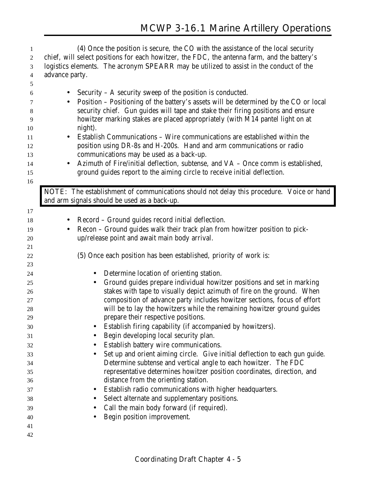| 1  | (4) Once the position is secure, the CO with the assistance of the local security                        |
|----|----------------------------------------------------------------------------------------------------------|
| 2  | chief, will select positions for each howitzer, the FDC, the antenna farm, and the battery's             |
| 3  | logistics elements. The acronym <b>SPEARR</b> may be utilized to assist in the conduct of the            |
| 4  | advance party.                                                                                           |
| 5  |                                                                                                          |
| 6  | Security $- A$ security sweep of the position is conducted.<br>$\bullet$                                 |
| 7  | <b>Position - Positioning of the battery's assets will be determined by the CO or local</b><br>$\bullet$ |
| 8  | security chief. Gun guides will tape and stake their firing positions and ensure                         |
| 9  | howitzer marking stakes are placed appropriately (with M14 pantel light on at                            |
| 10 | night).                                                                                                  |
| 11 | <b>Establish Communications - Wire communications are established within the</b><br>$\bullet$            |
| 12 | position using DR-8s and H-200s. Hand and arm communications or radio                                    |
| 13 | communications may be used as a back-up.                                                                 |
| 14 | Azimuth of Fire/initial deflection, subtense, and VA - Once comm is established,                         |
| 15 | ground guides report to the aiming circle to receive initial deflection.                                 |
| 16 |                                                                                                          |
|    | NOTE: The establishment of communications should not delay this procedure. Voice or hand                 |
|    | and arm signals should be used as a back-up.                                                             |
| 17 |                                                                                                          |
| 18 | Record - Ground guides record initial deflection.<br>$\bullet$                                           |
| 19 | Recon - Ground guides walk their track plan from howitzer position to pick-                              |
| 20 | up/release point and await main body arrival.                                                            |
| 21 |                                                                                                          |
| 22 | (5) Once each position has been established, priority of work is:                                        |
| 23 |                                                                                                          |
| 24 | Determine location of orienting station.<br>$\bullet$                                                    |
| 25 | Ground guides prepare individual howitzer positions and set in marking<br>$\bullet$                      |
| 26 | stakes with tape to visually depict azimuth of fire on the ground. When                                  |
| 27 | composition of advance party includes howitzer sections, focus of effort                                 |
| 28 | will be to lay the howitzers while the remaining howitzer ground guides                                  |
| 29 | prepare their respective positions.                                                                      |
| 30 | Establish firing capability (if accompanied by howitzers).                                               |
| 31 | Begin developing local security plan.                                                                    |
| 32 | Establish battery wire communications.<br>$\bullet$                                                      |
| 33 | Set up and orient aiming circle. Give initial deflection to each gun guide.<br>$\bullet$                 |
| 34 | Determine subtense and vertical angle to each howitzer. The FDC                                          |
| 35 | representative determines howitzer position coordinates, direction, and                                  |
| 36 | distance from the orienting station.                                                                     |
| 37 | Establish radio communications with higher headquarters.<br>$\bullet$                                    |
| 38 | Select alternate and supplementary positions.                                                            |
| 39 | Call the main body forward (if required).<br>$\bullet$                                                   |
| 40 | Begin position improvement.                                                                              |
| 41 |                                                                                                          |
| 42 |                                                                                                          |
|    |                                                                                                          |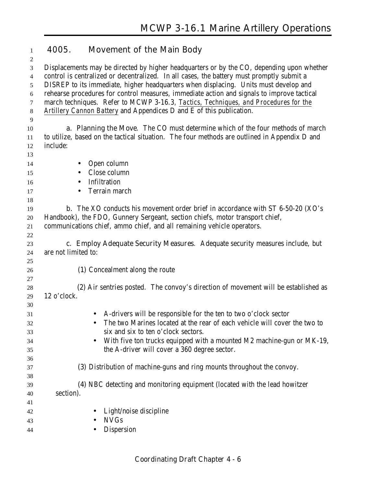## **4005. Movement of the Main Body**

 Displacements may be directed by higher headquarters or by the CO, depending upon whether control is centralized or decentralized. In all cases, the battery must promptly submit a DISREP to its immediate, higher headquarters when displacing. Units must develop and rehearse procedures for control measures, immediate action and signals to improve tactical march techniques. Refer to MCWP 3-16.3*, Tactics, Techniques, and Procedures for the Artillery Cannon Battery* and Appendices D and E of this publication. **a. Planning the Move**. The CO must determine which of the four methods of march to utilize, based on the tactical situation. The four methods are outlined in Appendix D and include: 14 • Open column • Close column • Infiltration **•** Terrain march **b.** The XO conducts his movement order brief in accordance with ST 6-50-20 (XO's Handbook), the FDO, Gunnery Sergeant, section chiefs, motor transport chief, communications chief, ammo chief, and all remaining vehicle operators. **c. Employ Adequate Security Measures**. Adequate security measures include, but are not limited to: **(1)** Concealment along the route  **(2)** Air sentries posted. The convoy's direction of movement will be established as 12 o'clock. • A-drivers will be responsible for the ten to two o'clock sector • The two Marines located at the rear of each vehicle will cover the two to six and six to ten o'clock sectors. • With five ton trucks equipped with a mounted M2 machine-gun or MK-19, the A-driver will cover a 360 degree sector. **(3)** Distribution of machine-guns and ring mounts throughout the convoy. **(4)** NBC detecting and monitoring equipment (located with the lead howitzer section). • Light/noise discipline • NVGs

• Dispersion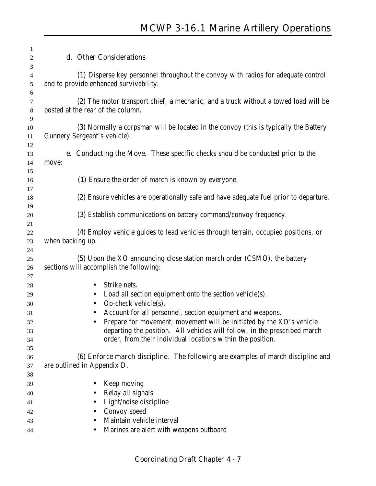| 1                        |                                                                                                                             |
|--------------------------|-----------------------------------------------------------------------------------------------------------------------------|
| 2                        | d. Other Considerations                                                                                                     |
| 3<br>$\overline{4}$<br>5 | (1) Disperse key personnel throughout the convoy with radios for adequate control<br>and to provide enhanced survivability. |
| 6<br>7<br>$8\phantom{1}$ | (2) The motor transport chief, a mechanic, and a truck without a towed load will be<br>posted at the rear of the column.    |
| 9<br>10<br>11            | (3) Normally a corpsman will be located in the convoy (this is typically the Battery<br>Gunnery Sergeant's vehicle).        |
| 12<br>13<br>14<br>15     | <b>e.</b> Conducting the Move. These specific checks should be conducted prior to the<br>move:                              |
| 16<br>17                 | (1) Ensure the order of march is known by everyone.                                                                         |
| 18<br>19                 | (2) Ensure vehicles are operationally safe and have adequate fuel prior to departure.                                       |
| 20<br>21                 | (3) Establish communications on battery command/convoy frequency.                                                           |
| 22<br>23                 | (4) Employ vehicle guides to lead vehicles through terrain, occupied positions, or<br>when backing up.                      |
| 24                       |                                                                                                                             |
| 25<br>26                 | (5) Upon the XO announcing close station march order (CSMO), the battery<br>sections will accomplish the following:         |
| 27                       |                                                                                                                             |
| 28                       | Strike nets.                                                                                                                |
| 29<br>30                 | Load all section equipment onto the section vehicle(s).<br>Op-check vehicle $(s)$ .                                         |
| 31                       | Account for all personnel, section equipment and weapons.                                                                   |
| 32                       | Prepare for movement; movement will be initiated by the XO's vehicle                                                        |
| 33                       | departing the position. All vehicles will follow, in the prescribed march                                                   |
| 34                       | order, from their individual locations within the position.                                                                 |
| 35                       |                                                                                                                             |
| 36                       | (6) Enforce march discipline. The following are examples of march discipline and                                            |
| 37                       | are outlined in Appendix D.                                                                                                 |
| 38                       |                                                                                                                             |
| 39                       | Keep moving                                                                                                                 |
| 40                       | Relay all signals                                                                                                           |
| 41                       | Light/noise discipline                                                                                                      |
| 42                       | Convoy speed                                                                                                                |
| 43                       | Maintain vehicle interval<br>$\bullet$                                                                                      |
| 44                       | Marines are alert with weapons outboard                                                                                     |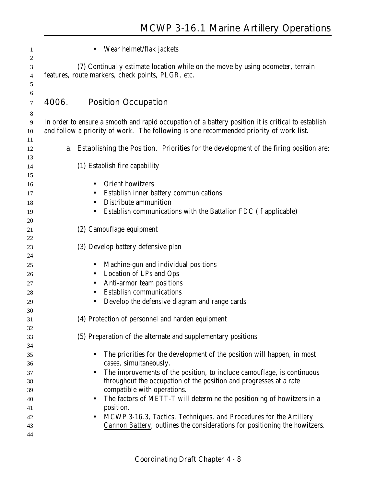| 1              | Wear helmet/flak jackets                                                                           |
|----------------|----------------------------------------------------------------------------------------------------|
| $\overline{c}$ |                                                                                                    |
| 3              | (7) Continually estimate location while on the move by using odometer, terrain                     |
| 4              | features, route markers, check points, PLGR, etc.                                                  |
| 5              |                                                                                                    |
| 6              |                                                                                                    |
| 7              | <b>Position Occupation</b><br>4006.                                                                |
| $8\phantom{1}$ |                                                                                                    |
| 9              | In order to ensure a smooth and rapid occupation of a battery position it is critical to establish |
| 10             | and follow a priority of work. The following is one recommended priority of work list.             |
| 11             |                                                                                                    |
| 12             | <b>a.</b> Establishing the Position. Priorities for the development of the firing position are:    |
| 13             |                                                                                                    |
| 14             | (1) Establish fire capability                                                                      |
| 15             | Orient howitzers                                                                                   |
| 16             | $\bullet$                                                                                          |
| 17             | Establish inner battery communications<br>$\bullet$                                                |
| 18             | <b>Distribute ammunition</b>                                                                       |
| 19             | Establish communications with the Battalion FDC (if applicable)                                    |
| 20             |                                                                                                    |
| 21             | (2) Camouflage equipment                                                                           |
| 22             | (3) Develop battery defensive plan                                                                 |
| 23<br>24       |                                                                                                    |
|                | Machine-gun and individual positions<br>$\bullet$                                                  |
| 25             | Location of LPs and Ops                                                                            |
| 26             | $\bullet$                                                                                          |
| 27             | Anti-armor team positions<br><b>Establish communications</b>                                       |
| 28             |                                                                                                    |
| 29             | Develop the defensive diagram and range cards                                                      |
| 30<br>31       | (4) Protection of personnel and harden equipment                                                   |
| 32             |                                                                                                    |
| 33             | (5) Preparation of the alternate and supplementary positions                                       |
| 34             |                                                                                                    |
| 35             | The priorities for the development of the position will happen, in most                            |
| 36             | cases, simultaneously.                                                                             |
| 37             | The improvements of the position, to include camouflage, is continuous                             |
| 38             | throughout the occupation of the position and progresses at a rate                                 |
| 39             | compatible with operations.                                                                        |
| 40             | The factors of METT-T will determine the positioning of howitzers in a                             |
| 41             | position.                                                                                          |
| 42             | MCWP 3-16.3, Tactics, Techniques, and Procedures for the Artillery<br>$\bullet$                    |
| 43             | Cannon Battery, outlines the considerations for positioning the howitzers.                         |
| 44             |                                                                                                    |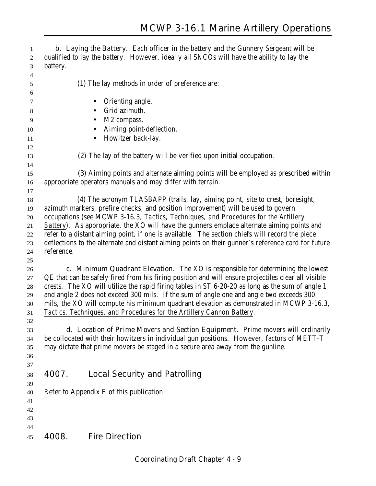**b. Laying the Battery**. Each officer in the battery and the Gunnery Sergeant will be qualified to lay the battery. However, ideally all SNCOs will have the ability to lay the battery. **(1)** The lay methods in order of preference are: **•** Orienting angle. 8 • Grid azimuth. • M2 compass. 10 • Aiming point-deflection. 11 • Howitzer back-lay. **(2)** The lay of the battery will be verified upon initial occupation. **(3)** Aiming points and alternate aiming points will be employed as prescribed within appropriate operators manuals and may differ with terrain.  **(4)** The acronym TLASBAPP (trails, lay, aiming point, site to crest, boresight, azimuth markers, prefire checks, and position improvement) will be used to govern occupations (see MCWP 3-16.3, *Tactics, Techniques, and Procedures for the Artillery Battery*). As appropriate, the XO will have the gunners emplace alternate aiming points and refer to a distant aiming point, if one is available. The section chiefs will record the piece deflections to the alternate and distant aiming points on their gunner's reference card for future reference. **c. Minimum Quadrant Elevation**. The XO is responsible for determining the lowest QE that can be safely fired from his firing position and will ensure projectiles clear all visible crests. The XO will utilize the rapid firing tables in ST 6-20-20 as long as the sum of angle 1 and angle 2 does not exceed 300 mils. If the sum of angle one and angle two exceeds 300 mils, the XO will compute his minimum quadrant elevation as demonstrated in MCWP 3-16.3, *Tactics, Techniques, and Procedures for the Artillery Cannon Battery*. **d. Location of Prime Movers and Section Equipment**. Prime movers will ordinarily be collocated with their howitzers in individual gun positions. However, factors of METT-T may dictate that prime movers be staged in a secure area away from the gunline. **4007. Local Security and Patrolling** Refer to Appendix E of this publication **4008. Fire Direction**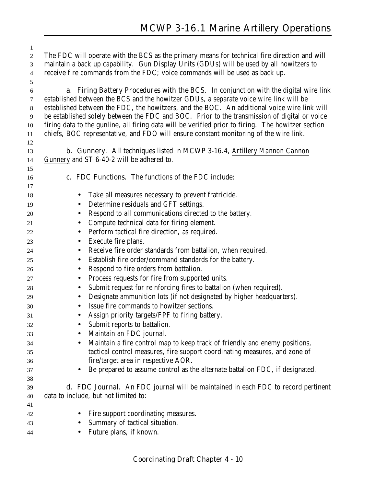The FDC will operate with the BCS as the primary means for technical fire direction and will maintain a back up capability. Gun Display Units (GDUs) will be used by all howitzers to receive fire commands from the FDC; voice commands will be used as back up. **a. Firing Battery Procedures with the BCS**. In conjunction with the digital wire link established between the BCS and the howitzer GDUs, a separate voice wire link will be established between the FDC, the howitzers, and the BOC. An additional voice wire link will be established solely between the FDC and BOC. Prior to the transmission of digital or voice firing data to the gunline, all firing data will be verified prior to firing. The howitzer section chiefs, BOC representative, and FDO will ensure constant monitoring of the wire link. **b. Gunnery**. All techniques listed in MCWP 3-16.4, *Artillery Mannon Cannon Gunnery* and ST 6-40-2 will be adhered to. **c. FDC Functions**. The functions of the FDC include: • Take all measures necessary to prevent fratricide. • Determine residuals and GFT settings. • Respond to all communications directed to the battery. • Compute technical data for firing element. • Perform tactical fire direction, as required. • Execute fire plans. • Receive fire order standards from battalion, when required. • Establish fire order/command standards for the battery. • Respond to fire orders from battalion. • Process requests for fire from supported units. • Submit request for reinforcing fires to battalion (when required). • Designate ammunition lots (if not designated by higher headquarters). • Issue fire commands to howitzer sections. • Assign priority targets/FPF to firing battery. • Submit reports to battalion. • Maintain an FDC journal. • Maintain a fire control map to keep track of friendly and enemy positions, tactical control measures, fire support coordinating measures, and zone of fire/target area in respective AOR. • Be prepared to assume control as the alternate battalion FDC, if designated. **d. FDC Journal**. An FDC journal will be maintained in each FDC to record pertinent data to include, but not limited to: • Fire support coordinating measures. • Summary of tactical situation. • Future plans, if known.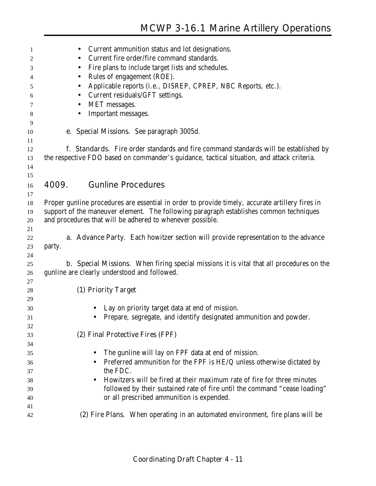| 1        | Current ammunition status and lot designations.<br>$\bullet$                                    |
|----------|-------------------------------------------------------------------------------------------------|
| 2        | Current fire order/fire command standards.                                                      |
| 3        | Fire plans to include target lists and schedules.                                               |
| 4        | Rules of engagement (ROE).                                                                      |
| 5        | Applicable reports (i.e., DISREP, CPREP, NBC Reports, etc.).<br>$\bullet$                       |
| 6        | Current residuals/GFT settings.                                                                 |
| 7        | MET messages.                                                                                   |
| 8        | Important messages.                                                                             |
| 9        |                                                                                                 |
| 10       | e. Special Missions. See paragraph 3005d.                                                       |
| 11<br>12 | f. Standards. Fire order standards and fire command standards will be established by            |
| 13       | the respective FDO based on commander's guidance, tactical situation, and attack criteria.      |
| 14       |                                                                                                 |
| 15       |                                                                                                 |
| 16       | <b>Gunline Procedures</b><br>4009.                                                              |
| 17       |                                                                                                 |
| 18       | Proper gunline procedures are essential in order to provide timely, accurate artillery fires in |
| 19       | support of the maneuver element. The following paragraph establishes common techniques          |
| 20       | and procedures that will be adhered to whenever possible.                                       |
| 21       |                                                                                                 |
| 22       | <b>a. Advance Party.</b> Each howitzer section will provide representation to the advance       |
| 23       | party.                                                                                          |
| 24       |                                                                                                 |
| 25       | <b>b.</b> Special Missions. When firing special missions it is vital that all procedures on the |
| 26       | gunline are clearly understood and followed.                                                    |
| 27       | (1) Priority Target                                                                             |
| 28<br>29 |                                                                                                 |
| 30       | Lay on priority target data at end of mission.                                                  |
| 31       | Prepare, segregate, and identify designated ammunition and powder.                              |
| 32       |                                                                                                 |
| 33       | (2) Final Protective Fires (FPF)                                                                |
| 34       |                                                                                                 |
| 35       | The gunline will lay on FPF data at end of mission.<br>$\bullet$                                |
| 36       | Preferred ammunition for the FPF is HE/Q unless otherwise dictated by                           |
| 37       | the FDC.                                                                                        |
| 38       | Howitzers will be fired at their maximum rate of fire for three minutes<br>$\bullet$            |
| 39       | followed by their sustained rate of fire until the command "cease loading"                      |
| 40       | or all prescribed ammunition is expended.                                                       |
| 41       |                                                                                                 |
| 42       | (2) Fire Plans. When operating in an automated environment, fire plans will be                  |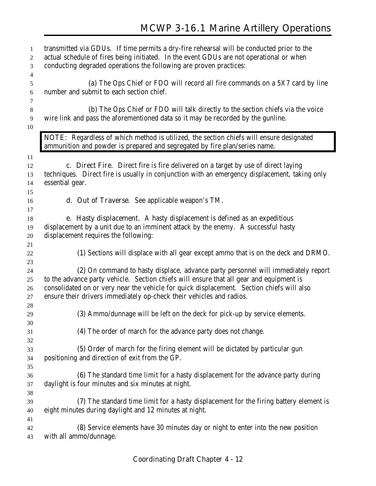| 1<br>2<br>$\mathfrak{Z}$               | transmitted via GDUs. If time permits a dry-fire rehearsal will be conducted prior to the<br>actual schedule of fires being initiated. In the event GDUs are not operational or when<br>conducting degraded operations the following are proven practices:                                                                                        |  |  |  |  |
|----------------------------------------|---------------------------------------------------------------------------------------------------------------------------------------------------------------------------------------------------------------------------------------------------------------------------------------------------------------------------------------------------|--|--|--|--|
| $\overline{4}$<br>$\sqrt{5}$<br>6<br>7 | (a) The Ops Chief or FDO will record all fire commands on a 5X7 card by line<br>number and submit to each section chief.                                                                                                                                                                                                                          |  |  |  |  |
| $\,8\,$<br>9<br>10                     | (b) The Ops Chief or FDO will talk directly to the section chiefs via the voice<br>wire link and pass the aforementioned data so it may be recorded by the gunline.                                                                                                                                                                               |  |  |  |  |
|                                        | NOTE: Regardless of which method is utilized, the section chiefs will ensure designated<br>ammunition and powder is prepared and segregated by fire plan/series name.                                                                                                                                                                             |  |  |  |  |
| 11<br>12<br>13<br>14<br>15             | c. Direct Fire. Direct fire is fire delivered on a target by use of direct laying<br>techniques. Direct fire is usually in conjunction with an emergency displacement, taking only<br>essential gear.                                                                                                                                             |  |  |  |  |
| 16                                     | <b>d. Out of Traverse.</b> See applicable weapon's TM.                                                                                                                                                                                                                                                                                            |  |  |  |  |
| 17<br>18<br>19<br>20                   | e. Hasty displacement. A hasty displacement is defined as an expeditious<br>displacement by a unit due to an imminent attack by the enemy. A successful hasty<br>displacement requires the following:                                                                                                                                             |  |  |  |  |
| 21<br>22<br>23                         | (1) Sections will displace with all gear except ammo that is on the deck and DRMO.                                                                                                                                                                                                                                                                |  |  |  |  |
| 24<br>25<br>26<br>27                   | (2) On command to hasty displace, advance party personnel will immediately report<br>to the advance party vehicle. Section chiefs will ensure that all gear and equipment is<br>consolidated on or very near the vehicle for quick displacement. Section chiefs will also<br>ensure their drivers immediately op-check their vehicles and radios. |  |  |  |  |
| 28<br>29                               | (3) Ammo/dunnage will be left on the deck for pick-up by service elements.                                                                                                                                                                                                                                                                        |  |  |  |  |
| 30<br>31                               | (4) The order of march for the advance party does not change.                                                                                                                                                                                                                                                                                     |  |  |  |  |
| 32<br>33<br>34<br>35                   | (5) Order of march for the firing element will be dictated by particular gun<br>positioning and direction of exit from the GP.                                                                                                                                                                                                                    |  |  |  |  |
| 36<br>37<br>38                         | (6) The standard time limit for a hasty displacement for the advance party during<br>daylight is four minutes and six minutes at night.                                                                                                                                                                                                           |  |  |  |  |
| 39<br>40<br>41                         | (7) The standard time limit for a hasty displacement for the firing battery element is<br>eight minutes during daylight and 12 minutes at night.                                                                                                                                                                                                  |  |  |  |  |
| 42<br>43                               | (8) Service elements have 30 minutes day or night to enter into the new position<br>with all ammo/dunnage.                                                                                                                                                                                                                                        |  |  |  |  |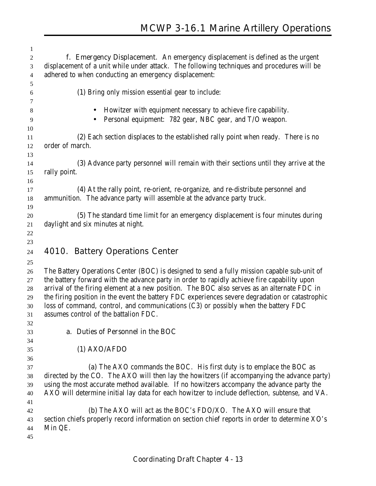| 1              |                                                                                                 |
|----------------|-------------------------------------------------------------------------------------------------|
| $\overline{c}$ | f. Emergency Displacement. An emergency displacement is defined as the urgent                   |
| 3              | displacement of a unit while under attack. The following techniques and procedures will be      |
| $\overline{4}$ | adhered to when conducting an emergency displacement:                                           |
| 5              |                                                                                                 |
| 6              | (1) Bring only mission essential gear to include:                                               |
| 7              |                                                                                                 |
| 8              | Howitzer with equipment necessary to achieve fire capability.                                   |
| 9              | Personal equipment: 782 gear, NBC gear, and T/O weapon.                                         |
|                |                                                                                                 |
| 10             |                                                                                                 |
| 11             | (2) Each section displaces to the established rally point when ready. There is no               |
| 12             | order of march.                                                                                 |
| 13             |                                                                                                 |
| 14             | (3) Advance party personnel will remain with their sections until they arrive at the            |
| 15             | rally point.                                                                                    |
| 16             |                                                                                                 |
| 17             | (4) At the rally point, re-orient, re-organize, and re-distribute personnel and                 |
| 18             | ammunition. The advance party will assemble at the advance party truck.                         |
| 19             |                                                                                                 |
| 20             | (5) The standard time limit for an emergency displacement is four minutes during                |
| 21             | daylight and six minutes at night.                                                              |
| 22             |                                                                                                 |
| 23             |                                                                                                 |
| 24             | 4010. Battery Operations Center                                                                 |
| 25             |                                                                                                 |
| 26             | The Battery Operations Center (BOC) is designed to send a fully mission capable sub-unit of     |
| 27             | the battery forward with the advance party in order to rapidly achieve fire capability upon     |
| 28             | arrival of the firing element at a new position. The BOC also serves as an alternate FDC in     |
| 29             | the firing position in the event the battery FDC experiences severe degradation or catastrophic |
| 30             | loss of command, control, and communications (C3) or possibly when the battery FDC              |
| 31             | assumes control of the battalion FDC.                                                           |
| 32             |                                                                                                 |
| 33             | a. Duties of Personnel in the BOC                                                               |
| 34             |                                                                                                 |
| 35             | $(1)$ AXO/AFDO                                                                                  |
| 36             |                                                                                                 |
| 37             | (a) The AXO commands the BOC. His first duty is to emplace the BOC as                           |
| 38             | directed by the CO. The AXO will then lay the howitzers (if accompanying the advance party)     |
| 39             | using the most accurate method available. If no howitzers accompany the advance party the       |
| 40             | AXO will determine initial lay data for each howitzer to include deflection, subtense, and VA.  |
| 41             |                                                                                                 |
| 42             | <b>(b)</b> The AXO will act as the BOC's FDO/XO. The AXO will ensure that                       |
| 43             | section chiefs properly record information on section chief reports in order to determine XO's  |
| 44             | Min QE.                                                                                         |
| 45             |                                                                                                 |
|                |                                                                                                 |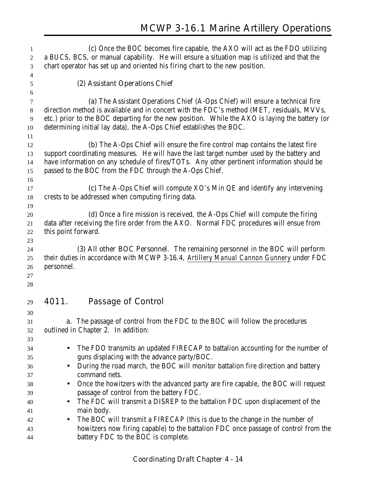| 1        | (c) Once the BOC becomes fire capable, the AXO will act as the FDO utilizing                                                                                                    |  |  |  |
|----------|---------------------------------------------------------------------------------------------------------------------------------------------------------------------------------|--|--|--|
| 2        | a BUCS, BCS, or manual capability. He will ensure a situation map is utilized and that the                                                                                      |  |  |  |
| 3        | chart operator has set up and oriented his firing chart to the new position.                                                                                                    |  |  |  |
| 4<br>5   | (2) Assistant Operations Chief                                                                                                                                                  |  |  |  |
| 6        |                                                                                                                                                                                 |  |  |  |
| 7        | (a) The Assistant Operations Chief (A-Ops Chief) will ensure a technical fire                                                                                                   |  |  |  |
| $8\,$    | direction method is available and in concert with the FDC's method (MET, residuals, MVVs,                                                                                       |  |  |  |
| 9<br>10  | etc.) prior to the BOC departing for the new position. While the AXO is laying the battery (or<br>determining initial lay data), the A-Ops Chief establishes the BOC.           |  |  |  |
| 11       |                                                                                                                                                                                 |  |  |  |
| 12       | <b>(b)</b> The A-Ops Chief will ensure the fire control map contains the latest fire                                                                                            |  |  |  |
| 13       | support coordinating measures. He will have the last target number used by the battery and                                                                                      |  |  |  |
| 14       | have information on any schedule of fires/TOTs. Any other pertinent information should be                                                                                       |  |  |  |
| 15       | passed to the BOC from the FDC through the A-Ops Chief.                                                                                                                         |  |  |  |
| 16       |                                                                                                                                                                                 |  |  |  |
| 17       | (c) The A-Ops Chief will compute XO's Min QE and identify any intervening                                                                                                       |  |  |  |
| 18       | crests to be addressed when computing firing data.                                                                                                                              |  |  |  |
| 19       |                                                                                                                                                                                 |  |  |  |
| 20       | (d) Once a fire mission is received, the A-Ops Chief will compute the firing                                                                                                    |  |  |  |
| 21       | data after receiving the fire order from the AXO. Normal FDC procedures will ensue from                                                                                         |  |  |  |
| 22       | this point forward.                                                                                                                                                             |  |  |  |
| 23       | (3) All other BOC Personnel. The remaining personnel in the BOC will perform                                                                                                    |  |  |  |
| 24<br>25 | their duties in accordance with MCWP 3-16.4, Artillery Manual Cannon Gunnery under FDC                                                                                          |  |  |  |
| 26       | personnel.                                                                                                                                                                      |  |  |  |
| 27       |                                                                                                                                                                                 |  |  |  |
| 28       |                                                                                                                                                                                 |  |  |  |
| 29       | 4011.<br><b>Passage of Control</b>                                                                                                                                              |  |  |  |
| 30       |                                                                                                                                                                                 |  |  |  |
| 31       | a. The passage of control from the FDC to the BOC will follow the procedures                                                                                                    |  |  |  |
| 32       | outlined in Chapter 2. In addition:                                                                                                                                             |  |  |  |
| 33       |                                                                                                                                                                                 |  |  |  |
| 34       | The FDO transmits an updated FIRECAP to battalion accounting for the number of<br>guns displacing with the advance party/BOC.                                                   |  |  |  |
| 35       |                                                                                                                                                                                 |  |  |  |
| 36<br>37 | During the road march, the BOC will monitor battalion fire direction and battery<br>command nets.                                                                               |  |  |  |
| 38       | Once the howitzers with the advanced party are fire capable, the BOC will request<br>$\bullet$                                                                                  |  |  |  |
|          |                                                                                                                                                                                 |  |  |  |
|          |                                                                                                                                                                                 |  |  |  |
| 39       | passage of control from the battery FDC.                                                                                                                                        |  |  |  |
| 40       | The FDC will transmit a DISREP to the battalion FDC upon displacement of the                                                                                                    |  |  |  |
| 41       | main body.                                                                                                                                                                      |  |  |  |
| 42<br>43 | The BOC will transmit a FIRECAP (this is due to the change in the number of<br>$\bullet$<br>howitzers now firing capable) to the battalion FDC once passage of control from the |  |  |  |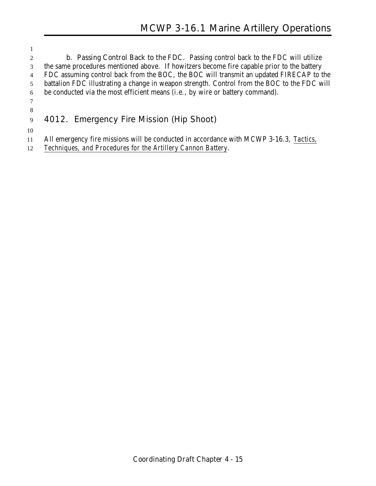**b. Passing Control Back to the FDC**. Passing control back to the FDC will utilize the same procedures mentioned above. If howitzers become fire capable prior to the battery FDC assuming control back from the BOC, the BOC will transmit an updated FIRECAP to the battalion FDC illustrating a change in weapon strength. Control from the BOC to the FDC will be conducted via the most efficient means (i.e., by wire or battery command). 

## **4012. Emergency Fire Mission (Hip Shoot)**

All emergency fire missions will be conducted in accordance with MCWP 3-16.3, *Tactics,*

*Techniques, and Procedures for the Artillery Cannon Battery*.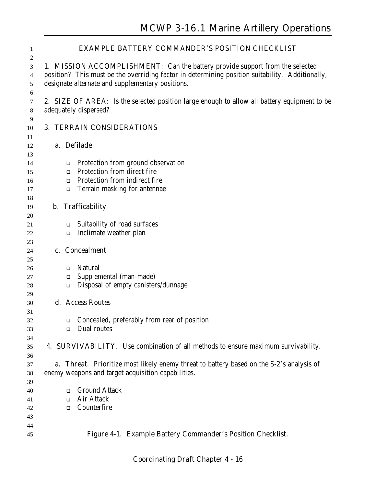| 1                     | <b>EXAMPLE BATTERY COMMANDER'S POSITION CHECKLIST</b>                                                                                                                                                                                      |  |
|-----------------------|--------------------------------------------------------------------------------------------------------------------------------------------------------------------------------------------------------------------------------------------|--|
| 2<br>3<br>4<br>5<br>6 | <b>1. MISSION ACCOMPLISHMENT:</b> Can the battery provide support from the selected<br>position? This must be the overriding factor in determining position suitability. Additionally,<br>designate alternate and supplementary positions. |  |
| 7<br>$\,8\,$          | <b>2. SIZE OF AREA:</b> Is the selected position large enough to allow all battery equipment to be<br>adequately dispersed?                                                                                                                |  |
| 9<br>10               | <b>3. TERRAIN CONSIDERATIONS</b>                                                                                                                                                                                                           |  |
| 11                    |                                                                                                                                                                                                                                            |  |
| 12                    | a. Defilade                                                                                                                                                                                                                                |  |
| 13<br>14              | Protection from ground observation<br>$\Box$                                                                                                                                                                                               |  |
| 15                    | Protection from direct fire<br>$\Box$                                                                                                                                                                                                      |  |
| 16                    | Protection from indirect fire<br>$\Box$                                                                                                                                                                                                    |  |
| 17                    | Terrain masking for antennae<br>$\Box$                                                                                                                                                                                                     |  |
| 18                    |                                                                                                                                                                                                                                            |  |
| 19                    | <b>b.</b> Trafficability                                                                                                                                                                                                                   |  |
| 20                    |                                                                                                                                                                                                                                            |  |
| 21                    | Suitability of road surfaces<br>$\Box$                                                                                                                                                                                                     |  |
| 22                    | Inclimate weather plan<br>$\Box$                                                                                                                                                                                                           |  |
| 23                    |                                                                                                                                                                                                                                            |  |
| 24                    | c. Concealment                                                                                                                                                                                                                             |  |
| 25                    |                                                                                                                                                                                                                                            |  |
| 26                    | <b>Natural</b><br>□<br>Supplemental (man-made)                                                                                                                                                                                             |  |
| 27                    | $\Box$<br>Disposal of empty canisters/dunnage<br>$\Box$                                                                                                                                                                                    |  |
| 28<br>29              |                                                                                                                                                                                                                                            |  |
| 30                    | d. Access Routes                                                                                                                                                                                                                           |  |
| 31                    |                                                                                                                                                                                                                                            |  |
| 32                    | Concealed, preferably from rear of position                                                                                                                                                                                                |  |
| 33                    | Dual routes<br>$\Box$                                                                                                                                                                                                                      |  |
| 34                    |                                                                                                                                                                                                                                            |  |
| 35                    | <b>4. SURVIVABILITY.</b> Use combination of all methods to ensure maximum survivability.                                                                                                                                                   |  |
| 36                    |                                                                                                                                                                                                                                            |  |
| 37                    | a. Threat. Prioritize most likely enemy threat to battery based on the S-2's analysis of                                                                                                                                                   |  |
| 38                    | enemy weapons and target acquisition capabilities.                                                                                                                                                                                         |  |
| 39                    |                                                                                                                                                                                                                                            |  |
| 40                    | <b>Ground Attack</b><br>□                                                                                                                                                                                                                  |  |
| 41                    | <b>Air Attack</b><br>$\Box$                                                                                                                                                                                                                |  |
| 42                    | Counterfire<br>□                                                                                                                                                                                                                           |  |
| 43                    |                                                                                                                                                                                                                                            |  |
| 44                    |                                                                                                                                                                                                                                            |  |
| 45                    | Figure 4-1. Example Battery Commander's Position Checklist.                                                                                                                                                                                |  |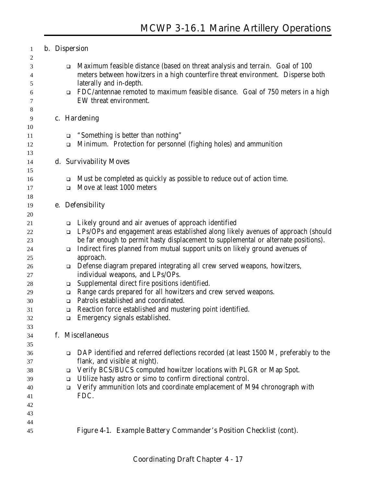| 1           |  |                  | <b>b.</b> Dispersion                                                                                                                                             |
|-------------|--|------------------|------------------------------------------------------------------------------------------------------------------------------------------------------------------|
| 2           |  |                  |                                                                                                                                                                  |
| 3<br>4      |  | $\Box$           | Maximum feasible distance (based on threat analysis and terrain. Goal of 100<br>meters between howitzers in a high counterfire threat environment. Disperse both |
| 5<br>6<br>7 |  | $\Box$           | laterally and in-depth.<br>FDC/antennae remoted to maximum feasible disance. Goal of 750 meters in a high<br>EW threat environment.                              |
| 8           |  |                  |                                                                                                                                                                  |
| 9           |  |                  | c. Hardening                                                                                                                                                     |
| 10          |  |                  |                                                                                                                                                                  |
| 11<br>12    |  | $\Box$<br>$\Box$ | "Something is better than nothing"<br>Minimum. Protection for personnel (fighing holes) and ammunition                                                           |
| 13          |  |                  |                                                                                                                                                                  |
| 14          |  |                  | d. Survivability Moves                                                                                                                                           |
| 15          |  |                  |                                                                                                                                                                  |
| 16          |  | $\Box$           | Must be completed as quickly as possible to reduce out of action time.                                                                                           |
| 17          |  | □                | Move at least 1000 meters                                                                                                                                        |
| 18          |  |                  |                                                                                                                                                                  |
| 19          |  |                  | e. Defensibility                                                                                                                                                 |
| 20          |  |                  |                                                                                                                                                                  |
| 21          |  | $\Box$           | Likely ground and air avenues of approach identified                                                                                                             |
| 22          |  | $\Box$           | LPs/OPs and engagement areas established along likely avenues of approach (should                                                                                |
| 23          |  |                  | be far enough to permit hasty displacement to supplemental or alternate positions).                                                                              |
| 24          |  | $\Box$           | Indirect fires planned from mutual support units on likely ground avenues of                                                                                     |
| 25<br>26    |  | $\Box$           | approach.<br>Defense diagram prepared integrating all crew served weapons, howitzers,                                                                            |
| 27          |  |                  | individual weapons, and LPs/OPs.                                                                                                                                 |
| 28          |  | $\Box$           | Supplemental direct fire positions identified.                                                                                                                   |
| 29          |  | $\Box$           | Range cards prepared for all howitzers and crew served weapons.                                                                                                  |
| 30          |  | $\Box$           | Patrols established and coordinated.                                                                                                                             |
| 31          |  | $\Box$           | Reaction force established and mustering point identified.                                                                                                       |
| 32          |  | □                | Emergency signals established.                                                                                                                                   |
| 33          |  |                  |                                                                                                                                                                  |
| 34          |  |                  | f. Miscellaneous                                                                                                                                                 |
| 35          |  |                  |                                                                                                                                                                  |
| 36          |  | $\Box$           | DAP identified and referred deflections recorded (at least 1500 M, preferably to the                                                                             |
| 37          |  |                  | flank, and visible at night).                                                                                                                                    |
| 38          |  | □                | Verify BCS/BUCS computed howitzer locations with PLGR or Map Spot.<br>Utilize hasty astro or simo to confirm directional control.                                |
| 39<br>40    |  | ❏<br>$\Box$      | Verify ammunition lots and coordinate emplacement of M94 chronograph with                                                                                        |
| 41          |  |                  | FDC.                                                                                                                                                             |
| 42          |  |                  |                                                                                                                                                                  |
| 43          |  |                  |                                                                                                                                                                  |
| 44          |  |                  |                                                                                                                                                                  |
| 45          |  |                  | Figure 4-1. Example Battery Commander's Position Checklist (cont).                                                                                               |